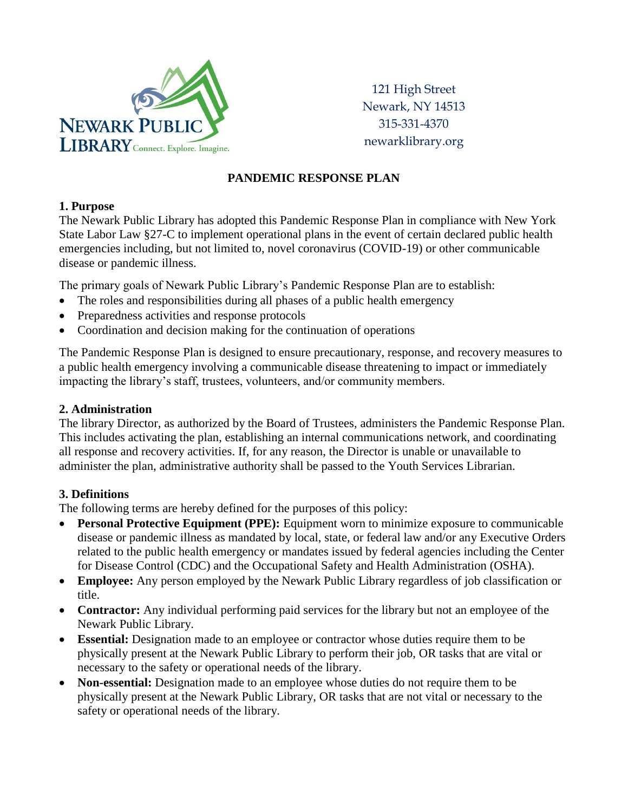

121 High Street Newark, NY 14513 315-331-4370 newarklibrary.org

# **PANDEMIC RESPONSE PLAN**

## **1. Purpose**

The Newark Public Library has adopted this Pandemic Response Plan in compliance with New York State Labor Law §27-C to implement operational plans in the event of certain declared public health emergencies including, but not limited to, novel coronavirus (COVID-19) or other communicable disease or pandemic illness.

The primary goals of Newark Public Library's Pandemic Response Plan are to establish:

- The roles and responsibilities during all phases of a public health emergency
- Preparedness activities and response protocols
- Coordination and decision making for the continuation of operations

The Pandemic Response Plan is designed to ensure precautionary, response, and recovery measures to a public health emergency involving a communicable disease threatening to impact or immediately impacting the library's staff, trustees, volunteers, and/or community members.

#### **2. Administration**

The library Director, as authorized by the Board of Trustees, administers the Pandemic Response Plan. This includes activating the plan, establishing an internal communications network, and coordinating all response and recovery activities. If, for any reason, the Director is unable or unavailable to administer the plan, administrative authority shall be passed to the Youth Services Librarian.

## **3. Definitions**

The following terms are hereby defined for the purposes of this policy:

- **Personal Protective Equipment (PPE):** Equipment worn to minimize exposure to communicable disease or pandemic illness as mandated by local, state, or federal law and/or any Executive Orders related to the public health emergency or mandates issued by federal agencies including the Center for Disease Control (CDC) and the Occupational Safety and Health Administration (OSHA).
- **Employee:** Any person employed by the Newark Public Library regardless of job classification or title.
- **Contractor:** Any individual performing paid services for the library but not an employee of the Newark Public Library.
- **Essential:** Designation made to an employee or contractor whose duties require them to be physically present at the Newark Public Library to perform their job, OR tasks that are vital or necessary to the safety or operational needs of the library.
- **Non-essential:** Designation made to an employee whose duties do not require them to be physically present at the Newark Public Library, OR tasks that are not vital or necessary to the safety or operational needs of the library.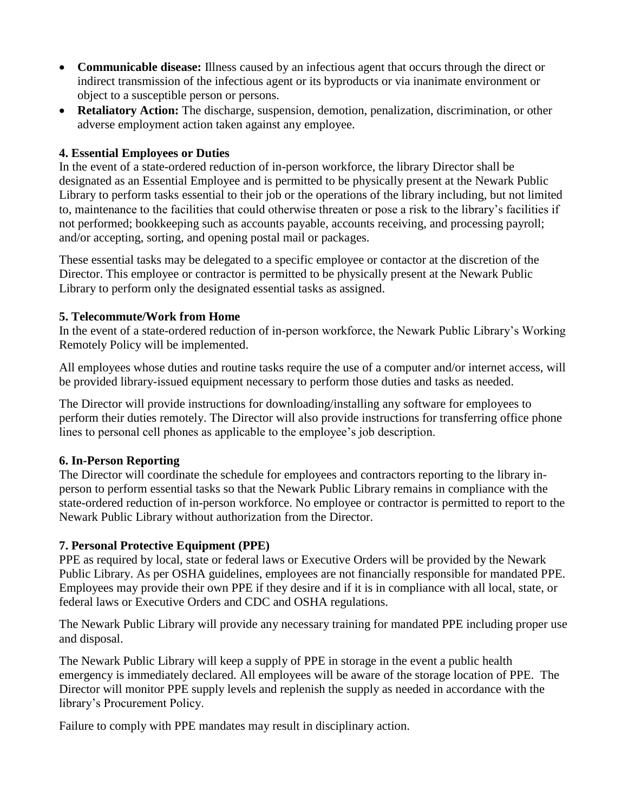- **Communicable disease:** Illness caused by an infectious agent that occurs through the direct or indirect transmission of the infectious agent or its byproducts or via inanimate environment or object to a susceptible person or persons.
- **Retaliatory Action:** The discharge, suspension, demotion, penalization, discrimination, or other adverse employment action taken against any employee.

## **4. Essential Employees or Duties**

In the event of a state-ordered reduction of in-person workforce, the library Director shall be designated as an Essential Employee and is permitted to be physically present at the Newark Public Library to perform tasks essential to their job or the operations of the library including, but not limited to, maintenance to the facilities that could otherwise threaten or pose a risk to the library's facilities if not performed; bookkeeping such as accounts payable, accounts receiving, and processing payroll; and/or accepting, sorting, and opening postal mail or packages.

These essential tasks may be delegated to a specific employee or contactor at the discretion of the Director. This employee or contractor is permitted to be physically present at the Newark Public Library to perform only the designated essential tasks as assigned.

#### **5. Telecommute/Work from Home**

In the event of a state-ordered reduction of in-person workforce, the Newark Public Library's Working Remotely Policy will be implemented.

All employees whose duties and routine tasks require the use of a computer and/or internet access, will be provided library-issued equipment necessary to perform those duties and tasks as needed.

The Director will provide instructions for downloading/installing any software for employees to perform their duties remotely. The Director will also provide instructions for transferring office phone lines to personal cell phones as applicable to the employee's job description.

#### **6. In-Person Reporting**

The Director will coordinate the schedule for employees and contractors reporting to the library inperson to perform essential tasks so that the Newark Public Library remains in compliance with the state-ordered reduction of in-person workforce. No employee or contractor is permitted to report to the Newark Public Library without authorization from the Director.

## **7. Personal Protective Equipment (PPE)**

PPE as required by local, state or federal laws or Executive Orders will be provided by the Newark Public Library. As per OSHA guidelines, employees are not financially responsible for mandated PPE. Employees may provide their own PPE if they desire and if it is in compliance with all local, state, or federal laws or Executive Orders and CDC and OSHA regulations.

The Newark Public Library will provide any necessary training for mandated PPE including proper use and disposal.

The Newark Public Library will keep a supply of PPE in storage in the event a public health emergency is immediately declared. All employees will be aware of the storage location of PPE. The Director will monitor PPE supply levels and replenish the supply as needed in accordance with the library's Procurement Policy.

Failure to comply with PPE mandates may result in disciplinary action.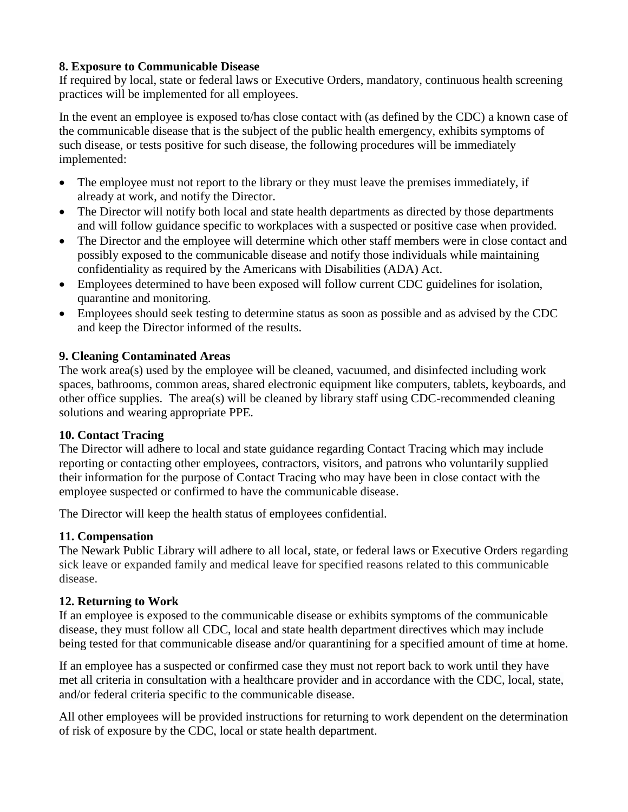## **8. Exposure to Communicable Disease**

If required by local, state or federal laws or Executive Orders, mandatory, continuous health screening practices will be implemented for all employees.

In the event an employee is exposed to/has close contact with (as defined by the CDC) a known case of the communicable disease that is the subject of the public health emergency, exhibits symptoms of such disease, or tests positive for such disease, the following procedures will be immediately implemented:

- The employee must not report to the library or they must leave the premises immediately, if already at work, and notify the Director.
- The Director will notify both local and state health departments as directed by those departments and will follow guidance specific to workplaces with a suspected or positive case when provided.
- The Director and the employee will determine which other staff members were in close contact and possibly exposed to the communicable disease and notify those individuals while maintaining confidentiality as required by the Americans with Disabilities (ADA) Act.
- Employees determined to have been exposed will follow current CDC guidelines for isolation, quarantine and monitoring.
- Employees should seek testing to determine status as soon as possible and as advised by the CDC and keep the Director informed of the results.

# **9. Cleaning Contaminated Areas**

The work area(s) used by the employee will be cleaned, vacuumed, and disinfected including work spaces, bathrooms, common areas, shared electronic equipment like computers, tablets, keyboards, and other office supplies. The area(s) will be cleaned by library staff using CDC-recommended cleaning solutions and wearing appropriate PPE.

# **10. Contact Tracing**

The Director will adhere to local and state guidance regarding Contact Tracing which may include reporting or contacting other employees, contractors, visitors, and patrons who voluntarily supplied their information for the purpose of Contact Tracing who may have been in close contact with the employee suspected or confirmed to have the communicable disease.

The Director will keep the health status of employees confidential.

# **11. Compensation**

The Newark Public Library will adhere to all local, state, or federal laws or Executive Orders regarding sick leave or expanded family and medical leave for specified reasons related to this communicable disease.

# **12. Returning to Work**

If an employee is exposed to the communicable disease or exhibits symptoms of the communicable disease, they must follow all CDC, local and state health department directives which may include being tested for that communicable disease and/or quarantining for a specified amount of time at home.

If an employee has a suspected or confirmed case they must not report back to work until they have met all criteria in consultation with a healthcare provider and in accordance with the CDC, local, state, and/or federal criteria specific to the communicable disease.

All other employees will be provided instructions for returning to work dependent on the determination of risk of exposure by the CDC, local or state health department.